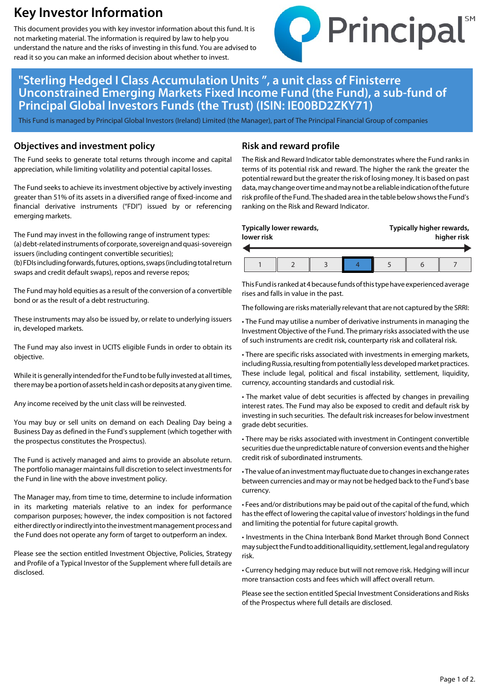# **Key Investor Information**

This document provides you with key investor information about this fund. It is not marketing material. The information is required by law to help you understand the nature and the risks of investing in this fund. You are advised to read it so you can make an informed decision about whether to invest.



## **"Sterling Hedged I Class Accumulation Units ", a unit class of Finisterre Unconstrained Emerging Markets Fixed Income Fund (the Fund), a sub-fund of Principal Global Investors Funds (the Trust) (ISIN: IE00BD2ZKY71)**

This Fund is managed by Principal Global Investors (Ireland) Limited (the Manager), part of The Principal Financial Group of companies

#### **Objectives and investment policy**

The Fund seeks to generate total returns through income and capital appreciation, while limiting volatility and potential capital losses.

The Fund seeks to achieve its investment objective by actively investing greater than 51% of its assets in a diversified range of fixed-income and financial derivative instruments ("FDI") issued by or referencing emerging markets.

The Fund may invest in the following range of instrument types: (a) debt-related instruments of corporate, sovereign and quasi-sovereign issuers (including contingent convertible securities);

(b) FDIs including forwards, futures, options, swaps (including total return swaps and credit default swaps), repos and reverse repos;

The Fund may hold equities as a result of the conversion of a convertible bond or as the result of a debt restructuring.

These instruments may also be issued by, or relate to underlying issuers in, developed markets.

The Fund may also invest in UCITS eligible Funds in order to obtain its objective.

While it is generally intended for the Fund to be fully invested at all times, there may be a portion of assets held in cash or deposits at any given time.

Any income received by the unit class will be reinvested.

You may buy or sell units on demand on each Dealing Day being a Business Day as defined in the Fund's supplement (which together with the prospectus constitutes the Prospectus).

The Fund is actively managed and aims to provide an absolute return. The portfolio manager maintains full discretion to select investments for the Fund in line with the above investment policy.

The Manager may, from time to time, determine to include information in its marketing materials relative to an index for performance comparison purposes; however, the index composition is not factored either directly or indirectly into the investment management process and the Fund does not operate any form of target to outperform an index.

Please see the section entitled Investment Objective, Policies, Strategy and Profile of a Typical Investor of the Supplement where full details are disclosed.

#### **Risk and reward profile**

The Risk and Reward Indicator table demonstrates where the Fund ranks in terms of its potential risk and reward. The higher the rank the greater the potential reward but the greater the risk of losing money. It is based on past data, may change over time and may not be a reliable indication of the future risk profile of the Fund. The shaded area in the table below shows the Fund's ranking on the Risk and Reward Indicator.

| Typically lower rewards,<br>lower risk |  |  |  | Typically higher rewards,<br>higher risk |  |  |
|----------------------------------------|--|--|--|------------------------------------------|--|--|
|                                        |  |  |  |                                          |  |  |
|                                        |  |  |  |                                          |  |  |

This Fund is ranked at 4 because funds of this type have experienced average rises and falls in value in the past.

The following are risks materially relevant that are not captured by the SRRI:

• The Fund may utilise a number of derivative instruments in managing the Investment Objective of the Fund. The primary risks associated with the use of such instruments are credit risk, counterparty risk and collateral risk.

• There are specific risks associated with investments in emerging markets, including Russia, resulting from potentially less developed market practices. These include legal, political and fiscal instability, settlement, liquidity, currency, accounting standards and custodial risk.

• The market value of debt securities is affected by changes in prevailing interest rates. The Fund may also be exposed to credit and default risk by investing in such securities. The default risk increases for below investment grade debt securities.

• There may be risks associated with investment in Contingent convertible securities due the unpredictable nature of conversion events and the higher credit risk of subordinated instruments.

• The value of an investment may fluctuate due to changes in exchange rates between currencies and may or may not be hedged back to the Fund's base currency.

• Fees and/or distributions may be paid out of the capital of the fund, which has the effect of lowering the capital value of investors' holdings in the fund and limiting the potential for future capital growth.

• Investments in the China Interbank Bond Market through Bond Connect may subject the Fund to additional liquidity, settlement, legal and regulatory risk.

• Currency hedging may reduce but will not remove risk. Hedging will incur more transaction costs and fees which will affect overall return.

Please see the section entitled Special Investment Considerations and Risks of the Prospectus where full details are disclosed.